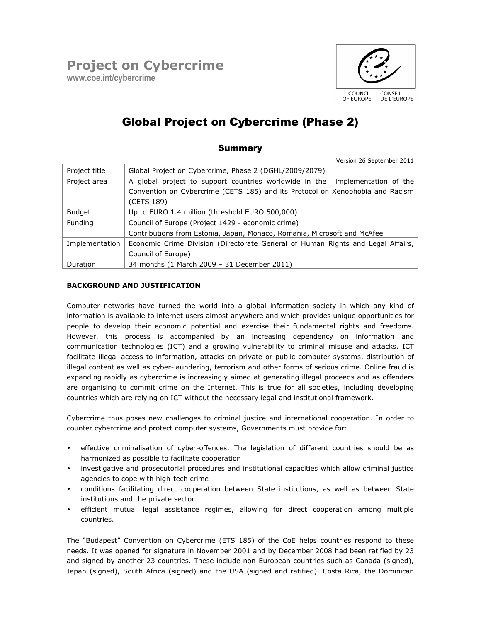

# Global Project on Cybercrime (Phase 2)

## Summary

Version 26 September 2011

| Project title  | Global Project on Cybercrime, Phase 2 (DGHL/2009/2079)                                      |  |  |
|----------------|---------------------------------------------------------------------------------------------|--|--|
| Project area   | A global project to support countries worldwide in the implementation of the                |  |  |
|                | Convention on Cybercrime (CETS 185) and its Protocol on Xenophobia and Racism<br>(CETS 189) |  |  |
| <b>Budget</b>  | Up to EURO 1.4 million (threshold EURO 500,000)                                             |  |  |
| Funding        | Council of Europe (Project 1429 - economic crime)                                           |  |  |
|                | Contributions from Estonia, Japan, Monaco, Romania, Microsoft and McAfee                    |  |  |
| Implementation | Economic Crime Division (Directorate General of Human Rights and Legal Affairs,             |  |  |
|                | Council of Europe)                                                                          |  |  |
| Duration       | 34 months (1 March 2009 - 31 December 2011)                                                 |  |  |

### BACKGROUND AND JUSTIFICATION

Computer networks have turned the world into a global information society in which any kind of information is available to internet users almost anywhere and which provides unique opportunities for people to develop their economic potential and exercise their fundamental rights and freedoms. However, this process is accompanied by an increasing dependency on information and communication technologies (ICT) and a growing vulnerability to criminal misuse and attacks. ICT facilitate illegal access to information, attacks on private or public computer systems, distribution of illegal content as well as cyber-laundering, terrorism and other forms of serious crime. Online fraud is expanding rapidly as cybercrime is increasingly aimed at generating illegal proceeds and as offenders are organising to commit crime on the Internet. This is true for all societies, including developing countries which are relying on ICT without the necessary legal and institutional framework.

Cybercrime thus poses new challenges to criminal justice and international cooperation. In order to counter cybercrime and protect computer systems, Governments must provide for:

- effective criminalisation of cyber-offences. The legislation of different countries should be as harmonized as possible to facilitate cooperation
- investigative and prosecutorial procedures and institutional capacities which allow criminal justice agencies to cope with high-tech crime
- conditions facilitating direct cooperation between State institutions, as well as between State institutions and the private sector
- efficient mutual legal assistance regimes, allowing for direct cooperation among multiple countries.

The "Budapest" Convention on Cybercrime (ETS 185) of the CoE helps countries respond to these needs. It was opened for signature in November 2001 and by December 2008 had been ratified by 23 and signed by another 23 countries. These include non-European countries such as Canada (signed), Japan (signed), South Africa (signed) and the USA (signed and ratified). Costa Rica, the Dominican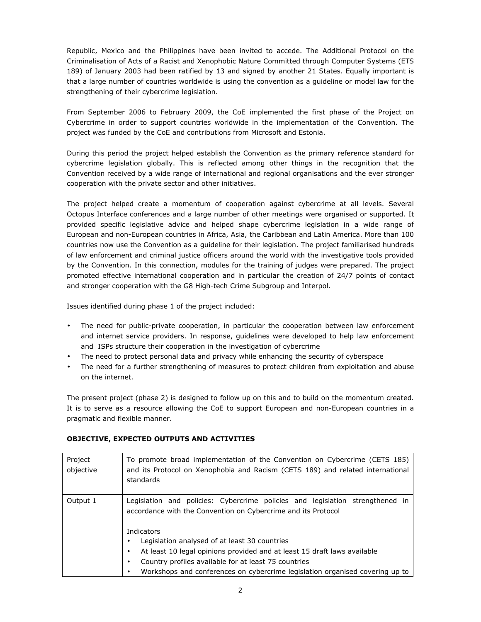Republic, Mexico and the Philippines have been invited to accede. The Additional Protocol on the Criminalisation of Acts of a Racist and Xenophobic Nature Committed through Computer Systems (ETS 189) of January 2003 had been ratified by 13 and signed by another 21 States. Equally important is that a large number of countries worldwide is using the convention as a guideline or model law for the strengthening of their cybercrime legislation.

From September 2006 to February 2009, the CoE implemented the first phase of the Project on Cybercrime in order to support countries worldwide in the implementation of the Convention. The project was funded by the CoE and contributions from Microsoft and Estonia.

During this period the project helped establish the Convention as the primary reference standard for cybercrime legislation globally. This is reflected among other things in the recognition that the Convention received by a wide range of international and regional organisations and the ever stronger cooperation with the private sector and other initiatives.

The project helped create a momentum of cooperation against cybercrime at all levels. Several Octopus Interface conferences and a large number of other meetings were organised or supported. It provided specific legislative advice and helped shape cybercrime legislation in a wide range of European and non-European countries in Africa, Asia, the Caribbean and Latin America. More than 100 countries now use the Convention as a guideline for their legislation. The project familiarised hundreds of law enforcement and criminal justice officers around the world with the investigative tools provided by the Convention. In this connection, modules for the training of judges were prepared. The project promoted effective international cooperation and in particular the creation of 24/7 points of contact and stronger cooperation with the G8 High-tech Crime Subgroup and Interpol.

Issues identified during phase 1 of the project included:

- The need for public-private cooperation, in particular the cooperation between law enforcement and internet service providers. In response, guidelines were developed to help law enforcement and ISPs structure their cooperation in the investigation of cybercrime
- The need to protect personal data and privacy while enhancing the security of cyberspace
- The need for a further strengthening of measures to protect children from exploitation and abuse on the internet.

The present project (phase 2) is designed to follow up on this and to build on the momentum created. It is to serve as a resource allowing the CoE to support European and non-European countries in a pragmatic and flexible manner.

| Project<br>objective | To promote broad implementation of the Convention on Cybercrime (CETS 185)<br>and its Protocol on Xenophobia and Racism (CETS 189) and related international<br>standards |  |  |  |  |
|----------------------|---------------------------------------------------------------------------------------------------------------------------------------------------------------------------|--|--|--|--|
| Output 1             | Legislation and policies: Cybercrime policies and legislation strengthened in<br>accordance with the Convention on Cybercrime and its Protocol<br>Indicators              |  |  |  |  |
|                      | Legislation analysed of at least 30 countries<br>٠<br>At least 10 legal opinions provided and at least 15 draft laws available<br>٠                                       |  |  |  |  |
|                      | Country profiles available for at least 75 countries<br>٠                                                                                                                 |  |  |  |  |
|                      | Workshops and conferences on cybercrime legislation organised covering up to                                                                                              |  |  |  |  |

#### OBJECTIVE, EXPECTED OUTPUTS AND ACTIVITIES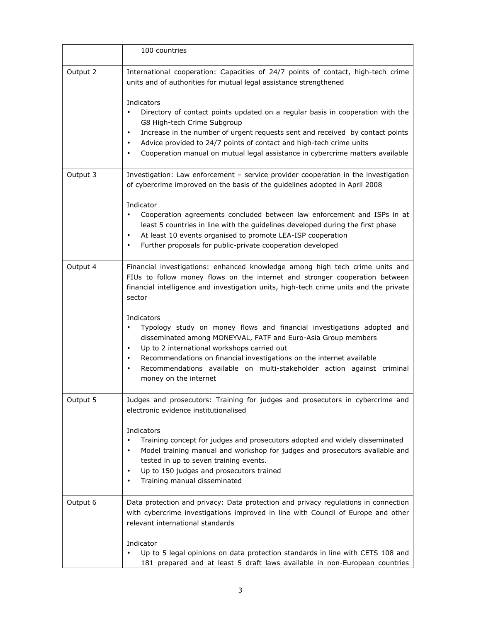|          | 100 countries                                                                                                                                                                                                                                                                                                                                                                                                            |  |  |  |  |
|----------|--------------------------------------------------------------------------------------------------------------------------------------------------------------------------------------------------------------------------------------------------------------------------------------------------------------------------------------------------------------------------------------------------------------------------|--|--|--|--|
| Output 2 | International cooperation: Capacities of 24/7 points of contact, high-tech crime<br>units and of authorities for mutual legal assistance strengthened                                                                                                                                                                                                                                                                    |  |  |  |  |
|          | Indicators<br>Directory of contact points updated on a regular basis in cooperation with the<br>$\bullet$<br>G8 High-tech Crime Subgroup<br>Increase in the number of urgent requests sent and received by contact points<br>$\bullet$<br>Advice provided to 24/7 points of contact and high-tech crime units<br>$\bullet$<br>Cooperation manual on mutual legal assistance in cybercrime matters available<br>$\bullet$ |  |  |  |  |
| Output 3 | Investigation: Law enforcement - service provider cooperation in the investigation<br>of cybercrime improved on the basis of the guidelines adopted in April 2008                                                                                                                                                                                                                                                        |  |  |  |  |
|          | Indicator<br>Cooperation agreements concluded between law enforcement and ISPs in at<br>least 5 countries in line with the guidelines developed during the first phase<br>At least 10 events organised to promote LEA-ISP cooperation<br>$\bullet$<br>Further proposals for public-private cooperation developed<br>٠                                                                                                    |  |  |  |  |
| Output 4 | Financial investigations: enhanced knowledge among high tech crime units and<br>FIUs to follow money flows on the internet and stronger cooperation between<br>financial intelligence and investigation units, high-tech crime units and the private<br>sector                                                                                                                                                           |  |  |  |  |
|          | Indicators<br>Typology study on money flows and financial investigations adopted and<br>disseminated among MONEYVAL, FATF and Euro-Asia Group members<br>Up to 2 international workshops carried out<br>$\bullet$<br>Recommendations on financial investigations on the internet available<br>$\bullet$<br>Recommendations available on multi-stakeholder action against criminal<br>$\bullet$<br>money on the internet  |  |  |  |  |
| Output 5 | Judges and prosecutors: Training for judges and prosecutors in cybercrime and<br>electronic evidence institutionalised                                                                                                                                                                                                                                                                                                   |  |  |  |  |
|          | Indicators<br>Training concept for judges and prosecutors adopted and widely disseminated<br>Model training manual and workshop for judges and prosecutors available and<br>tested in up to seven training events.<br>Up to 150 judges and prosecutors trained<br>٠<br>Training manual disseminated                                                                                                                      |  |  |  |  |
| Output 6 | Data protection and privacy: Data protection and privacy regulations in connection<br>with cybercrime investigations improved in line with Council of Europe and other<br>relevant international standards                                                                                                                                                                                                               |  |  |  |  |
|          | Indicator<br>Up to 5 legal opinions on data protection standards in line with CETS 108 and<br>181 prepared and at least 5 draft laws available in non-European countries                                                                                                                                                                                                                                                 |  |  |  |  |